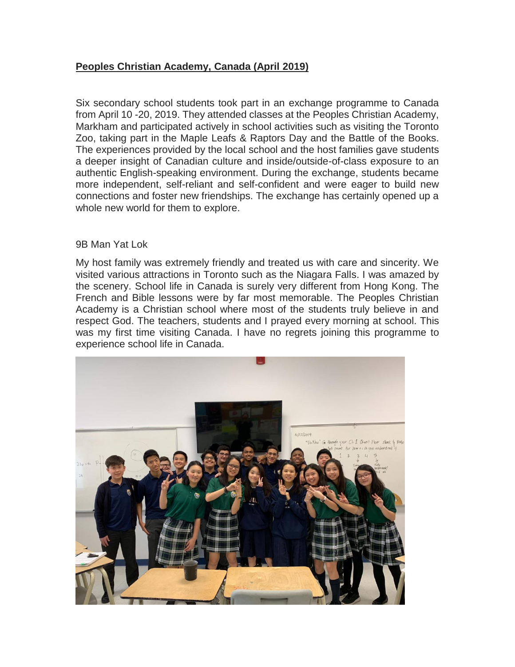## **Peoples Christian Academy, Canada (April 2019)**

Six secondary school students took part in an exchange programme to Canada from April 10 -20, 2019. They attended classes at the Peoples Christian Academy, Markham and participated actively in school activities such as visiting the Toronto Zoo, taking part in the Maple Leafs & Raptors Day and the Battle of the Books. The experiences provided by the local school and the host families gave students a deeper insight of Canadian culture and inside/outside-of-class exposure to an authentic English-speaking environment. During the exchange, students became more independent, self-reliant and self-confident and were eager to build new connections and foster new friendships. The exchange has certainly opened up a whole new world for them to explore.

## 9B Man Yat Lok

My host family was extremely friendly and treated us with care and sincerity. We visited various attractions in Toronto such as the Niagara Falls. I was amazed by the scenery. School life in Canada is surely very different from Hong Kong. The French and Bible lessons were by far most memorable. The Peoples Christian Academy is a Christian school where most of the students truly believe in and respect God. The teachers, students and I prayed every morning at school. This was my first time visiting Canada. I have no regrets joining this programme to experience school life in Canada.